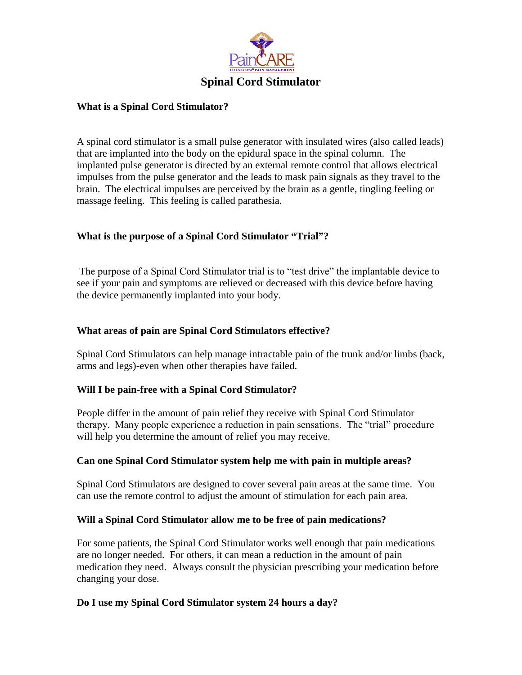

#### **What is a Spinal Cord Stimulator?**

A spinal cord stimulator is a small pulse generator with insulated wires (also called leads) that are implanted into the body on the epidural space in the spinal column. The implanted pulse generator is directed by an external remote control that allows electrical impulses from the pulse generator and the leads to mask pain signals as they travel to the brain. The electrical impulses are perceived by the brain as a gentle, tingling feeling or massage feeling. This feeling is called parathesia.

## **What is the purpose of a Spinal Cord Stimulator "Trial"?**

The purpose of a Spinal Cord Stimulator trial is to "test drive" the implantable device to see if your pain and symptoms are relieved or decreased with this device before having the device permanently implanted into your body.

#### **What areas of pain are Spinal Cord Stimulators effective?**

Spinal Cord Stimulators can help manage intractable pain of the trunk and/or limbs (back, arms and legs)-even when other therapies have failed.

## **Will I be pain-free with a Spinal Cord Stimulator?**

People differ in the amount of pain relief they receive with Spinal Cord Stimulator therapy. Many people experience a reduction in pain sensations. The "trial" procedure will help you determine the amount of relief you may receive.

#### **Can one Spinal Cord Stimulator system help me with pain in multiple areas?**

Spinal Cord Stimulators are designed to cover several pain areas at the same time. You can use the remote control to adjust the amount of stimulation for each pain area.

#### **Will a Spinal Cord Stimulator allow me to be free of pain medications?**

For some patients, the Spinal Cord Stimulator works well enough that pain medications are no longer needed. For others, it can mean a reduction in the amount of pain medication they need. Always consult the physician prescribing your medication before changing your dose.

#### **Do I use my Spinal Cord Stimulator system 24 hours a day?**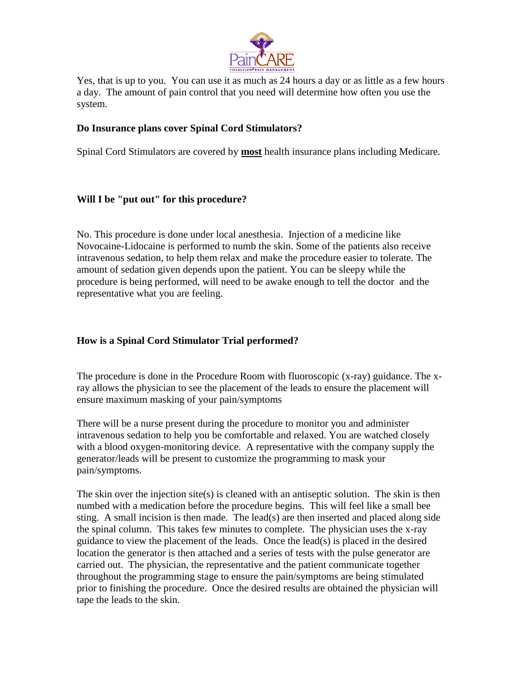

Yes, that is up to you. You can use it as much as 24 hours a day or as little as a few hours a day. The amount of pain control that you need will determine how often you use the system.

## **Do Insurance plans cover Spinal Cord Stimulators?**

Spinal Cord Stimulators are covered by **most** health insurance plans including Medicare.

## **Will I be "put out" for this procedure?**

No. This procedure is done under local anesthesia. Injection of a medicine like Novocaine-Lidocaine is performed to numb the skin. Some of the patients also receive intravenous sedation, to help them relax and make the procedure easier to tolerate. The amount of sedation given depends upon the patient. You can be sleepy while the procedure is being performed, will need to be awake enough to tell the doctor and the representative what you are feeling.

## **How is a Spinal Cord Stimulator Trial performed?**

The procedure is done in the Procedure Room with fluoroscopic (x-ray) guidance. The xray allows the physician to see the placement of the leads to ensure the placement will ensure maximum masking of your pain/symptoms

There will be a nurse present during the procedure to monitor you and administer intravenous sedation to help you be comfortable and relaxed. You are watched closely with a blood oxygen-monitoring device. A representative with the company supply the generator/leads will be present to customize the programming to mask your pain/symptoms.

The skin over the injection site(s) is cleaned with an antiseptic solution. The skin is then numbed with a medication before the procedure begins. This will feel like a small bee sting. A small incision is then made. The lead(s) are then inserted and placed along side the spinal column. This takes few minutes to complete. The physician uses the x-ray guidance to view the placement of the leads. Once the lead(s) is placed in the desired location the generator is then attached and a series of tests with the pulse generator are carried out. The physician, the representative and the patient communicate together throughout the programming stage to ensure the pain/symptoms are being stimulated prior to finishing the procedure. Once the desired results are obtained the physician will tape the leads to the skin.